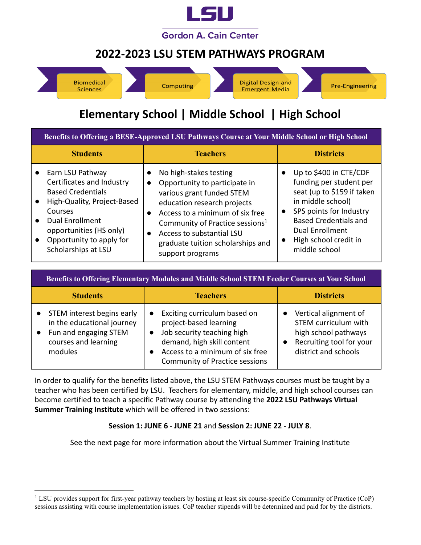

### **2022-2023 LSU STEM PATHWAYS PROGRAM**



## **Elementary School | Middle School | High School**

| Benefits to Offering a BESE-Approved LSU Pathways Course at Your Middle School or High School                                                                                                                               |                                                                                                                                                                                                                                                                                             |                                                                                                                                                                                                                                                        |
|-----------------------------------------------------------------------------------------------------------------------------------------------------------------------------------------------------------------------------|---------------------------------------------------------------------------------------------------------------------------------------------------------------------------------------------------------------------------------------------------------------------------------------------|--------------------------------------------------------------------------------------------------------------------------------------------------------------------------------------------------------------------------------------------------------|
| <b>Students</b>                                                                                                                                                                                                             | <b>Teachers</b>                                                                                                                                                                                                                                                                             | <b>Districts</b>                                                                                                                                                                                                                                       |
| Earn LSU Pathway<br>Certificates and Industry<br><b>Based Credentials</b><br>High-Quality, Project-Based<br>Courses<br><b>Dual Enrollment</b><br>opportunities (HS only)<br>Opportunity to apply for<br>Scholarships at LSU | No high-stakes testing<br>Opportunity to participate in<br>various grant funded STEM<br>education research projects<br>Access to a minimum of six free<br>Community of Practice sessions <sup>1</sup><br>Access to substantial LSU<br>graduate tuition scholarships and<br>support programs | Up to \$400 in CTE/CDF<br>funding per student per<br>seat (up to \$159 if taken<br>in middle school)<br>SPS points for Industry<br>$\bullet$<br><b>Based Credentials and</b><br>Dual Enrollment<br>High school credit in<br>$\bullet$<br>middle school |

|                        | <b>Benefits to Offering Elementary Modules and Middle School STEM Feeder Courses at Your School</b>                  |                                                                                                                                                                                                             |                                                                                                                                  |
|------------------------|----------------------------------------------------------------------------------------------------------------------|-------------------------------------------------------------------------------------------------------------------------------------------------------------------------------------------------------------|----------------------------------------------------------------------------------------------------------------------------------|
|                        | <b>Students</b>                                                                                                      | <b>Teachers</b>                                                                                                                                                                                             | <b>Districts</b>                                                                                                                 |
| $\bullet$<br>$\bullet$ | STEM interest begins early<br>in the educational journey<br>Fun and engaging STEM<br>courses and learning<br>modules | Exciting curriculum based on<br>$\bullet$<br>project-based learning<br>Job security teaching high<br>demand, high skill content<br>Access to a minimum of six free<br><b>Community of Practice sessions</b> | Vertical alignment of<br><b>STEM curriculum with</b><br>high school pathways<br>Recruiting tool for your<br>district and schools |

In order to qualify for the benefits listed above, the LSU STEM Pathways courses must be taught by a teacher who has been certified by LSU. Teachers for elementary, middle, and high school courses can become certified to teach a specific Pathway course by attending the **2022 LSU Pathways Virtual Summer Training Institute** which will be offered in two sessions:

#### **Session 1: JUNE 6 - JUNE 21** and **Session 2: JUNE 22 - JULY 8**.

See the next page for more information about the Virtual Summer Training Institute

<sup>1</sup> LSU provides support for first-year pathway teachers by hosting at least six course-specific Community of Practice (CoP) sessions assisting with course implementation issues. CoP teacher stipends will be determined and paid for by the districts.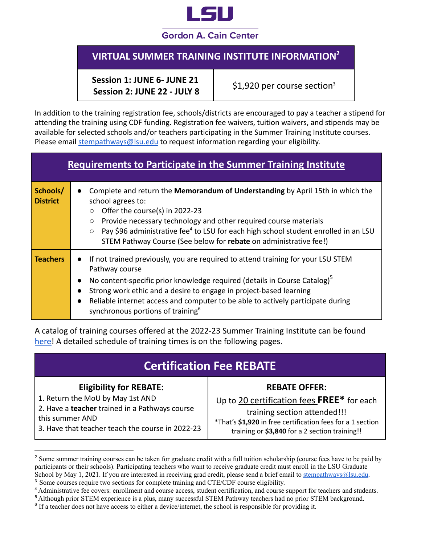

#### **Gordon A. Cain Center**

### **VIRTUAL SUMMER TRAINING INSTITUTE INFORMATION 2**

**Session 1: JUNE 6- JUNE 21 Session 2: JUNE 22 - JULY 8**

\$1,920 per course section<sup>3</sup>

In addition to the training registration fee, schools/districts are encouraged to pay a teacher a stipend for attending the training using CDF funding. Registration fee waivers, tuition waivers, and stipends may be available for selected schools and/or teachers participating in the Summer Training Institute courses. Please email [stempathways@lsu.edu](mailto:stempathways@lsu.edu) to request information regarding your eligibility.

| Requirements to Participate in the Summer Training Institute |                        |                                                                                                                                                                                                                                                                                                                                                                                                                    |
|--------------------------------------------------------------|------------------------|--------------------------------------------------------------------------------------------------------------------------------------------------------------------------------------------------------------------------------------------------------------------------------------------------------------------------------------------------------------------------------------------------------------------|
| Schools/<br><b>District</b>                                  | $\bullet$              | Complete and return the Memorandum of Understanding by April 15th in which the<br>school agrees to:<br>Offer the course(s) in 2022-23<br>$\circ$<br>Provide necessary technology and other required course materials<br>$\circ$<br>Pay \$96 administrative fee <sup>4</sup> to LSU for each high school student enrolled in an LSU<br>$\circ$<br>STEM Pathway Course (See below for rebate on administrative fee!) |
| <b>Teachers</b>                                              | $\bullet$<br>$\bullet$ | If not trained previously, you are required to attend training for your LSU STEM<br>Pathway course<br>No content-specific prior knowledge required (details in Course Catalog) <sup>5</sup><br>Strong work ethic and a desire to engage in project-based learning<br>Reliable internet access and computer to be able to actively participate during<br>synchronous portions of training <sup>6</sup>              |

A catalog of training courses offered at the 2022-23 Summer Training Institute can be found [here!](https://drive.google.com/file/d/1-Q_ljDpxatthJ4kgKVLyn8MZt4AiRdZb/view?usp=sharing) A detailed schedule of training times is on the following pages.

#### **Eligibility for REBATE:**

- 1. Return the MoU by May 1st AND
- 2. Have a **teacher** trained in a Pathways course this summer AND

3. Have that teacher teach the course in 2022-23

#### **REBATE OFFER:**

Up to 20 certification fees **FREE\*** for each training section attended!!!

\*That's **\$1,920** in free certification fees for a 1 section training or **\$3,840** for a 2 section training!!

<sup>3</sup> Some courses require two sections for complete training and CTE/CDF course eligibility.

<sup>&</sup>lt;sup>2</sup> Some summer training courses can be taken for graduate credit with a full tuition scholarship (course fees have to be paid by participants or their schools). Participating teachers who want to receive graduate credit must enroll in the LSU Graduate School by May 1, 2021. If you are interested in receiving grad credit, please send a brief email to [stempathways@lsu.edu.](mailto:stempathways@lsu.edu)

<sup>4</sup> Administrative fee covers: enrollment and course access, student certification, and course support for teachers and students.

<sup>5</sup> Although prior STEM experience is a plus, many successful STEM Pathway teachers had no prior STEM background.

<sup>&</sup>lt;sup>6</sup> If a teacher does not have access to either a device/internet, the school is responsible for providing it.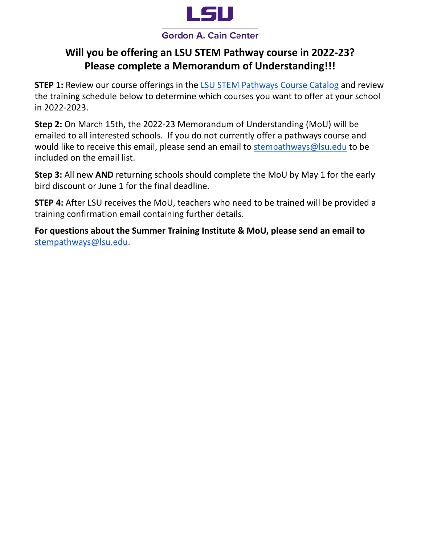

#### **Gordon A. Cain Center**

### **Will you be offering an LSU STEM Pathway course in 2022-23? Please complete a Memorandum of Understanding!!!**

**STEP 1:** Review our course offerings in the LSU STEM [Pathways](https://drive.google.com/file/d/1-Q_ljDpxatthJ4kgKVLyn8MZt4AiRdZb/view?usp=sharing) Course Catalog and review the training schedule below to determine which courses you want to offer at your school in 2022-2023.

**Step 2:** On March 15th, the 2022-23 Memorandum of Understanding (MoU) will be emailed to all interested schools. If you do not currently offer a pathways course and would like to receive this email, please send an email to [stempathways@lsu.edu](mailto:stempathways@lsu.edu) to be included on the email list.

**Step 3:** All new **AND** returning schools should complete the MoU by May 1 for the early bird discount or June 1 for the final deadline.

**STEP 4:** After LSU receives the MoU, teachers who need to be trained will be provided a training confirmation email containing further details.

**For questions about the Summer Training Institute & MoU, please send an email to** [stempathways@lsu.edu](mailto:stempathways@lsu.edu).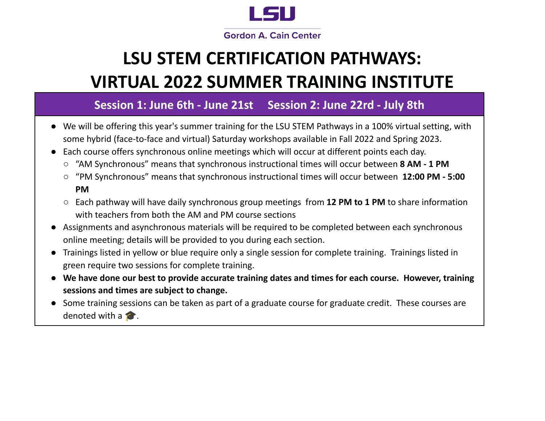

# **LSU STEM CERTIFICATION PATHWAYS: VIRTUAL 2022 SUMMER TRAINING INSTITUTE**

### **Session 1: June 6th - June 21st Session 2: June 22rd - July 8th**

- We will be offering this year's summer training for the LSU STEM Pathways in a 100% virtual setting, with some hybrid (face-to-face and virtual) Saturday workshops available in Fall 2022 and Spring 2023.
- Each course offers synchronous online meetings which will occur at different points each day.
	- "AM Synchronous" means that synchronous instructional times will occur between **8 AM - 1 PM**
	- "PM Synchronous" means that synchronous instructional times will occur between **12:00 PM - 5:00 PM**
	- Each pathway will have daily synchronous group meetings from **12 PM to 1 PM** to share information with teachers from both the AM and PM course sections
- Assignments and asynchronous materials will be required to be completed between each synchronous online meeting; details will be provided to you during each section.
- Trainings listed in yellow or blue require only a single session for complete training. Trainings listed in green require two sessions for complete training.
- We have done our best to provide accurate training dates and times for each course. However, training **sessions and times are subject to change.**
- Some training sessions can be taken as part of a graduate course for graduate credit. These courses are denoted with a  $\blacktriangleright$ .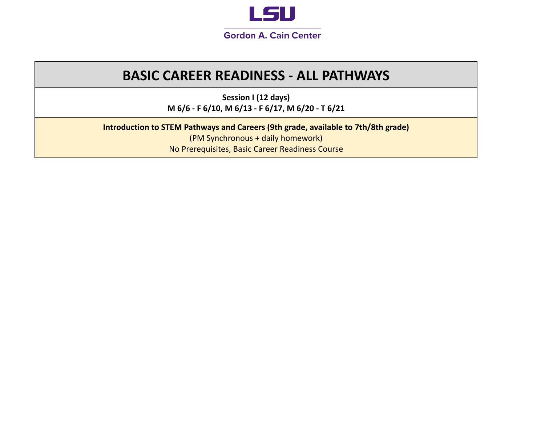

# **BASIC CAREER READINESS - ALL PATHWAYS**

**Session I (12 days) M 6/6 - F 6/10, M 6/13 - F 6/17, M 6/20 - T 6/21**

**Introduction to STEM Pathways and Careers (9th grade, available to 7th/8th grade)**

(PM Synchronous + daily homework) No Prerequisites, Basic Career Readiness Course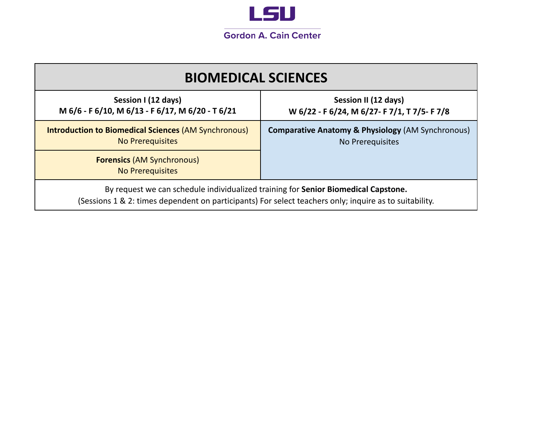

| <b>BIOMEDICAL SCIENCES</b>                                                                                                                                                                   |                                                                                  |  |
|----------------------------------------------------------------------------------------------------------------------------------------------------------------------------------------------|----------------------------------------------------------------------------------|--|
| Session I (12 days)<br>M 6/6 - F 6/10, M 6/13 - F 6/17, M 6/20 - T 6/21                                                                                                                      | Session II (12 days)<br>W 6/22 - F 6/24, M 6/27- F 7/1, T 7/5- F 7/8             |  |
| <b>Introduction to Biomedical Sciences (AM Synchronous)</b><br><b>No Prerequisites</b>                                                                                                       | <b>Comparative Anatomy &amp; Physiology (AM Synchronous)</b><br>No Prerequisites |  |
| <b>Forensics (AM Synchronous)</b><br><b>No Prerequisites</b>                                                                                                                                 |                                                                                  |  |
| By request we can schedule individualized training for Senior Biomedical Capstone.<br>(Sessions 1 & 2: times dependent on participants) For select teachers only; inquire as to suitability. |                                                                                  |  |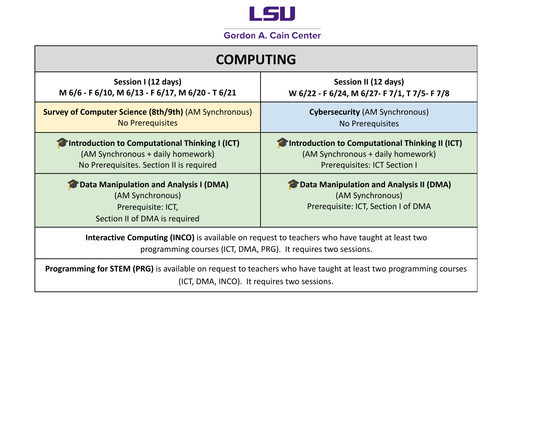

| <b>COMPUTING</b>                                                                                                                                                      |                                                                                                                      |  |
|-----------------------------------------------------------------------------------------------------------------------------------------------------------------------|----------------------------------------------------------------------------------------------------------------------|--|
| Session I (12 days)<br>M 6/6 - F 6/10, M 6/13 - F 6/17, M 6/20 - T 6/21                                                                                               | Session II (12 days)<br>W 6/22 - F 6/24, M 6/27- F 7/1, T 7/5- F 7/8                                                 |  |
| <b>Survey of Computer Science (8th/9th) (AM Synchronous)</b><br><b>No Prerequisites</b>                                                                               | <b>Cybersecurity (AM Synchronous)</b><br>No Prerequisites                                                            |  |
| Introduction to Computational Thinking I (ICT)<br>(AM Synchronous + daily homework)<br>No Prerequisites. Section II is required                                       | Introduction to Computational Thinking II (ICT)<br>(AM Synchronous + daily homework)<br>Prerequisites: ICT Section I |  |
| Data Manipulation and Analysis I (DMA)<br>(AM Synchronous)<br>Prerequisite: ICT,<br>Section II of DMA is required                                                     | <b>Data Manipulation and Analysis II (DMA)</b><br>(AM Synchronous)<br>Prerequisite: ICT, Section I of DMA            |  |
| Interactive Computing (INCO) is available on request to teachers who have taught at least two<br>programming courses (ICT, DMA, PRG). It requires two sessions.       |                                                                                                                      |  |
| <b>Programming for STEM (PRG)</b> is available on request to teachers who have taught at least two programming courses<br>(ICT, DMA, INCO). It requires two sessions. |                                                                                                                      |  |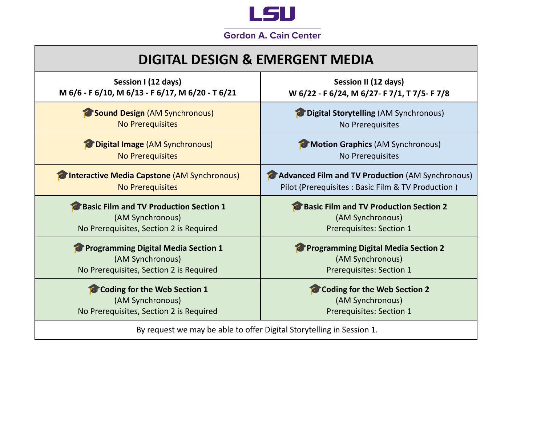

# **DIGITAL DESIGN & EMERGENT MEDIA**

| Session I (12 days)                                                  | Session II (12 days)                              |
|----------------------------------------------------------------------|---------------------------------------------------|
| M 6/6 - F 6/10, M 6/13 - F 6/17, M 6/20 - T 6/21                     | W 6/22 - F 6/24, M 6/27- F 7/1, T 7/5- F 7/8      |
| <b>Sound Design (AM Synchronous)</b>                                 | <b>Digital Storytelling (AM Synchronous)</b>      |
| <b>No Prerequisites</b>                                              | No Prerequisites                                  |
| Digital Image (AM Synchronous)                                       | Motion Graphics (AM Synchronous)                  |
| <b>No Prerequisites</b>                                              | No Prerequisites                                  |
| Clinteractive Media Capstone (AM Synchronous)                        | Advanced Film and TV Production (AM Synchronous)  |
| <b>No Prerequisites</b>                                              | Pilot (Prerequisites: Basic Film & TV Production) |
| <b>Basic Film and TV Production Section 1</b>                        | <b>Basic Film and TV Production Section 2</b>     |
| (AM Synchronous)                                                     | (AM Synchronous)                                  |
| No Prerequisites, Section 2 is Required                              | Prerequisites: Section 1                          |
| <b>Programming Digital Media Section 1</b>                           | <b>Programming Digital Media Section 2</b>        |
| (AM Synchronous)                                                     | (AM Synchronous)                                  |
| No Prerequisites, Section 2 is Required                              | <b>Prerequisites: Section 1</b>                   |
| <b>Coding for the Web Section 1</b>                                  | <b>Coding for the Web Section 2</b>               |
| (AM Synchronous)                                                     | (AM Synchronous)                                  |
| No Prerequisites, Section 2 is Required                              | <b>Prerequisites: Section 1</b>                   |
| By request we may be able to offer Digital Storytelling in Session 1 |                                                   |

By request we may be able to offer Digital Storytelling in Session 1.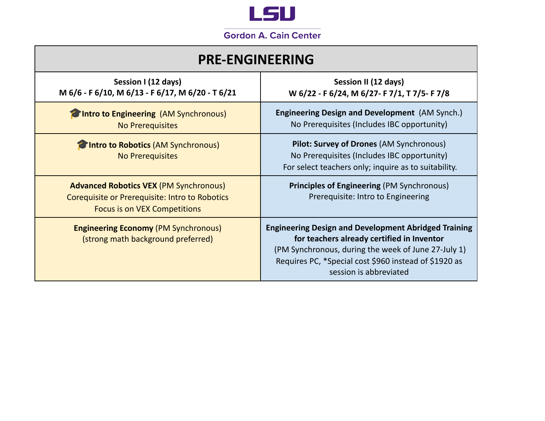

| <b>PRE-ENGINEERING</b>                                                                                                                 |                                                                                                                                                                                                                                                     |  |
|----------------------------------------------------------------------------------------------------------------------------------------|-----------------------------------------------------------------------------------------------------------------------------------------------------------------------------------------------------------------------------------------------------|--|
| Session I (12 days)<br>M 6/6 - F 6/10, M 6/13 - F 6/17, M 6/20 - T 6/21                                                                | Session II (12 days)<br>W 6/22 - F 6/24, M 6/27- F 7/1, T 7/5- F 7/8                                                                                                                                                                                |  |
| Intro to Engineering (AM Synchronous)<br><b>No Prerequisites</b>                                                                       | <b>Engineering Design and Development</b> (AM Synch.)<br>No Prerequisites (Includes IBC opportunity)                                                                                                                                                |  |
| Intro to Robotics (AM Synchronous)<br><b>No Prerequisites</b>                                                                          | Pilot: Survey of Drones (AM Synchronous)<br>No Prerequisites (Includes IBC opportunity)<br>For select teachers only; inquire as to suitability.                                                                                                     |  |
| <b>Advanced Robotics VEX (PM Synchronous)</b><br>Corequisite or Prerequisite: Intro to Robotics<br><b>Focus is on VEX Competitions</b> | <b>Principles of Engineering (PM Synchronous)</b><br>Prerequisite: Intro to Engineering                                                                                                                                                             |  |
| <b>Engineering Economy (PM Synchronous)</b><br>(strong math background preferred)                                                      | <b>Engineering Design and Development Abridged Training</b><br>for teachers already certified in Inventor<br>(PM Synchronous, during the week of June 27-July 1)<br>Requires PC, *Special cost \$960 instead of \$1920 as<br>session is abbreviated |  |